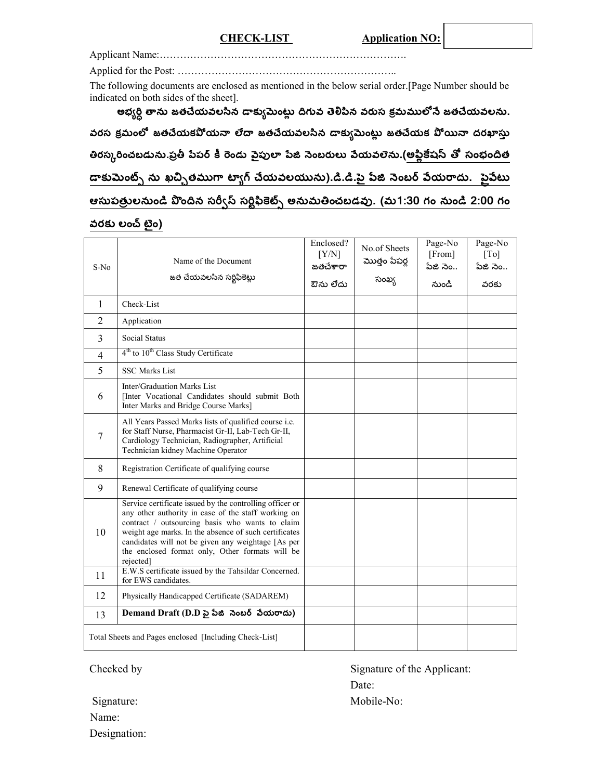The following documents are enclosed as mentioned in the below serial order.[Page Number should be indicated on both sides of the sheet].

అభ్యర్ధి తాను జతచేయవలసిన డాక్యుమెంట్లు దిగువ తెలిపిన వరుస క్రమములోనే జతచేయవలను. వరస క్రమంలో జతచేయకపోయనా లేదా జతచేయవలసిన డాక్యుమెంట్లు జతచేయక పోయినా దరఖాస్తు తిరస్కరించబడును.ప్రతీ పేపర్ కీ రెండు వైపులా పేజి నెంబరులు వేయవలెను.(అప్లికేషస్ తో సంభందిత

డాకుమెంట్స్ ను ఖచ్చితముగా ట్యాగ్ చేయవలయును).డి.డి.పై పేజి నెంబర్ వేయరాదు. పైవేటు

# ఆసుపత్రులనుండి పొందిన సర్వీస్ సర్టిఫికెట్స్ అనుమతించబడవు. (మ1:30 గం నుండి 2:00 గం

#### వరకు లంచ్ టైం)

| $S-No$         | Name of the Document<br>జత చేయవలసిన సర్టిఫికెట్లు                                                                                                                                                                                                                                                                                                | Enclosed?<br>[Y/N]<br>జతచేశారా<br>ఔను లేదు | No.of Sheets<br>మొత్తం పేపర్ల<br>సంఖ్య | Page-No<br>[From]<br>పేజి నెం<br>నుండి | Page-No<br>$\lceil \text{To} \rceil$<br>పేజి సెం<br>వరకు |
|----------------|--------------------------------------------------------------------------------------------------------------------------------------------------------------------------------------------------------------------------------------------------------------------------------------------------------------------------------------------------|--------------------------------------------|----------------------------------------|----------------------------------------|----------------------------------------------------------|
| 1              | Check-List                                                                                                                                                                                                                                                                                                                                       |                                            |                                        |                                        |                                                          |
| $\overline{2}$ | Application                                                                                                                                                                                                                                                                                                                                      |                                            |                                        |                                        |                                                          |
| 3              | <b>Social Status</b>                                                                                                                                                                                                                                                                                                                             |                                            |                                        |                                        |                                                          |
| $\overline{4}$ | 4 <sup>th</sup> to 10 <sup>th</sup> Class Study Certificate                                                                                                                                                                                                                                                                                      |                                            |                                        |                                        |                                                          |
| 5              | <b>SSC Marks List</b>                                                                                                                                                                                                                                                                                                                            |                                            |                                        |                                        |                                                          |
| 6              | Inter/Graduation Marks List<br>[Inter Vocational Candidates should submit Both<br>Inter Marks and Bridge Course Marks]                                                                                                                                                                                                                           |                                            |                                        |                                        |                                                          |
| 7              | All Years Passed Marks lists of qualified course i.e.<br>for Staff Nurse, Pharmacist Gr-II, Lab-Tech Gr-II,<br>Cardiology Technician, Radiographer, Artificial<br>Technician kidney Machine Operator                                                                                                                                             |                                            |                                        |                                        |                                                          |
| 8              | Registration Certificate of qualifying course                                                                                                                                                                                                                                                                                                    |                                            |                                        |                                        |                                                          |
| 9              | Renewal Certificate of qualifying course                                                                                                                                                                                                                                                                                                         |                                            |                                        |                                        |                                                          |
| 10             | Service certificate issued by the controlling officer or<br>any other authority in case of the staff working on<br>contract / outsourcing basis who wants to claim<br>weight age marks. In the absence of such certificates<br>candidates will not be given any weightage [As per<br>the enclosed format only, Other formats will be<br>rejected |                                            |                                        |                                        |                                                          |
| 11             | E.W.S certificate issued by the Tahsildar Concerned.<br>for EWS candidates.                                                                                                                                                                                                                                                                      |                                            |                                        |                                        |                                                          |
| 12             | Physically Handicapped Certificate (SADAREM)                                                                                                                                                                                                                                                                                                     |                                            |                                        |                                        |                                                          |
| 13             | Demand Draft (D.D పై పేజి సెంబర్ పేయరాదు)                                                                                                                                                                                                                                                                                                        |                                            |                                        |                                        |                                                          |
|                | Total Sheets and Pages enclosed [Including Check-List]                                                                                                                                                                                                                                                                                           |                                            |                                        |                                        |                                                          |

Checked by

Signature of the Applicant: Date: Mobile-No:

Signature: Name: Designation: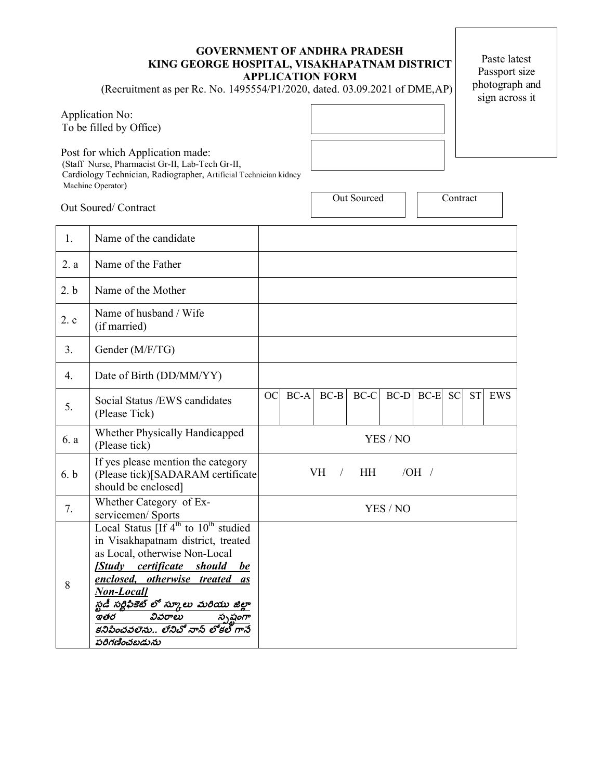#### **GOVERNMENT OF ANDHRA PRADESH KING GEORGE HOSPITAL, VISAKHAPATNAM DISTRICT APPLICATION FORM**

(Recruitment as per Rc. No. 1495554/P1/2020, dated. 03.09.2021 of DME,AP)

To be filled by Office) Application No:

Post for which Application made: (Staff Nurse, Pharmacist Gr-II, Lab-Tech Gr-II, Cardiology Technician, Radiographer, Artificial Technician kidney Machine Operator)

Out Soured/ Contract

| 1.   | Name of the candidate                                                                                                                                                                                                                                                                                                                                                 |    |        |                         |           |          |         |           |           |            |
|------|-----------------------------------------------------------------------------------------------------------------------------------------------------------------------------------------------------------------------------------------------------------------------------------------------------------------------------------------------------------------------|----|--------|-------------------------|-----------|----------|---------|-----------|-----------|------------|
| 2. a | Name of the Father                                                                                                                                                                                                                                                                                                                                                    |    |        |                         |           |          |         |           |           |            |
| 2. b | Name of the Mother                                                                                                                                                                                                                                                                                                                                                    |    |        |                         |           |          |         |           |           |            |
| 2c   | Name of husband / Wife<br>(if married)                                                                                                                                                                                                                                                                                                                                |    |        |                         |           |          |         |           |           |            |
| 3.   | Gender (M/F/TG)                                                                                                                                                                                                                                                                                                                                                       |    |        |                         |           |          |         |           |           |            |
| 4.   | Date of Birth (DD/MM/YY)                                                                                                                                                                                                                                                                                                                                              |    |        |                         |           |          |         |           |           |            |
| 5.   | Social Status /EWS candidates<br>(Please Tick)                                                                                                                                                                                                                                                                                                                        | OC | $BC-A$ | $BC-B$                  | $BC-C$    | $BC-D$   | $BC-E$  | <b>SC</b> | <b>ST</b> | <b>EWS</b> |
| 6. a | Whether Physically Handicapped<br>(Please tick)                                                                                                                                                                                                                                                                                                                       |    |        |                         |           | YES / NO |         |           |           |            |
| 6. b | If yes please mention the category<br>(Please tick)[SADARAM certificate]<br>should be enclosed]                                                                                                                                                                                                                                                                       |    |        | <b>VH</b><br>$\sqrt{2}$ | <b>HH</b> |          | /OH $/$ |           |           |            |
| 7.   | Whether Category of Ex-<br>servicemen/ Sports                                                                                                                                                                                                                                                                                                                         |    |        |                         |           | YES / NO |         |           |           |            |
| 8    | Local Status $\sqrt{If 4^{th}}$ to $10^{th}$ studied<br>in Visakhapatnam district, treated<br>as Local, otherwise Non-Local<br>[Study certificate should<br>be<br>enclosed,<br>otherwise treated<br><i>as</i><br><b>Non-Locall</b><br>స్టడీ సర్టిఫికెట్ లో స్కూలు మరియు జిల్లా<br>వివరాలు<br>ాతర<br>స్పష్టంగా<br>కనిపించవలెను లేనిచో నాస్ లోకల్ గానే<br>పరిగణించబడును |    |        |                         |           |          |         |           |           |            |

Paste latest Passport size photograph and sign across it

Out Sourced Contract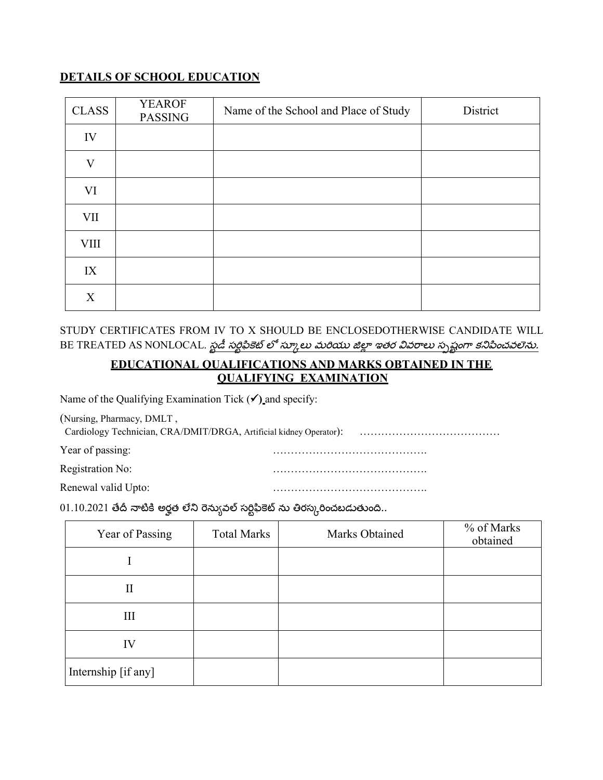## **DETAILS OF SCHOOL EDUCATION**

| <b>CLASS</b> | <b>YEAROF</b><br><b>PASSING</b> | Name of the School and Place of Study | District |
|--------------|---------------------------------|---------------------------------------|----------|
| IV           |                                 |                                       |          |
| V            |                                 |                                       |          |
| VI           |                                 |                                       |          |
| VII          |                                 |                                       |          |
| <b>VIII</b>  |                                 |                                       |          |
| IX           |                                 |                                       |          |
| X            |                                 |                                       |          |

STUDY CERTIFICATES FROM IV TO X SHOULD BE ENCLOSEDOTHERWISE CANDIDATE WILL BE TREATED AS NONLOCAL. *స్ట్రడీ సర్టిఫికెట్ లో స్కూలు మరియు జిల్లా ఇతర వివరాలు స్పష్టంగా కనిపించవలెను.* 

## **EDUCATIONAL QUALIFICATIONS AND MARKS OBTAINED IN THE QUALIFYING EXAMINATION**

Name of the Qualifying Examination Tick  $(\checkmark)$  and specify:

(Nursing, Pharmacy, DMLT ,

Cardiology Technician, CRA/DMIT/DRGA, Artificial kidney Operator): …………………………………

Year of passing: <u>with a set of passing</u>:

Registration No: www.assettechnik.com

Renewal valid Upto: …………………………………….

 $01.10.2021$  తేదీ నాటికి అర్హత లేని రెన్యువల్ సర్టిఫికెట్ ను తిరస్కరించబడుతుంది..

| Year of Passing     | <b>Total Marks</b> | Marks Obtained | % of Marks<br>obtained |
|---------------------|--------------------|----------------|------------------------|
|                     |                    |                |                        |
| П                   |                    |                |                        |
| Ш                   |                    |                |                        |
| IV                  |                    |                |                        |
| Internship [if any] |                    |                |                        |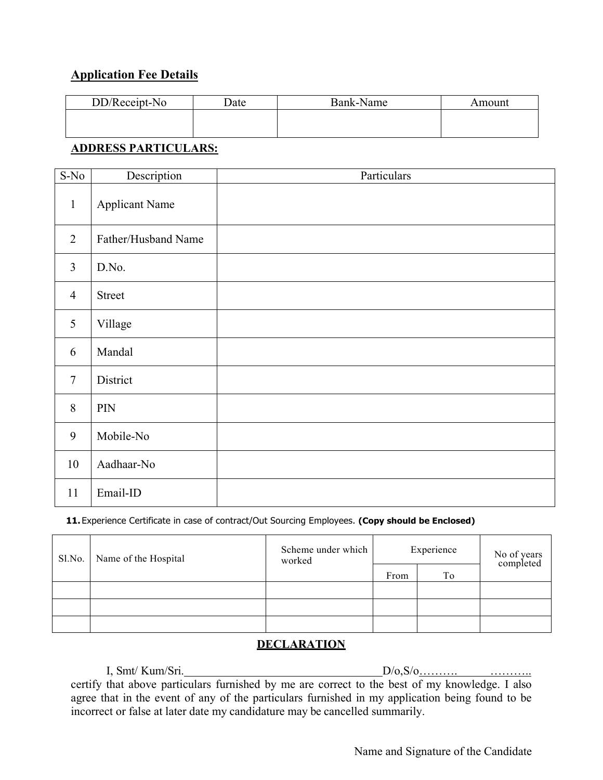# **Application Fee Details**

| DD/Receipt-No | Date | Bank-Name | Amount |
|---------------|------|-----------|--------|
|               |      |           |        |
|               |      |           |        |

## **ADDRESS PARTICULARS:**

| $S-No$         | Description           | Particulars |
|----------------|-----------------------|-------------|
| $\mathbf{1}$   | <b>Applicant Name</b> |             |
| $\overline{2}$ | Father/Husband Name   |             |
| $\overline{3}$ | D.No.                 |             |
| $\overline{4}$ | <b>Street</b>         |             |
| 5              | Village               |             |
| 6              | Mandal                |             |
| $\tau$         | District              |             |
| 8              | PIN                   |             |
| 9              | Mobile-No             |             |
| 10             | Aadhaar-No            |             |
| 11             | Email-ID              |             |

**11.** Experience Certificate in case of contract/Out Sourcing Employees. **(Copy should be Enclosed)**

| Sl.No. | Name of the Hospital | Scheme under which<br>worked |      | Experience | No of years<br>completed |
|--------|----------------------|------------------------------|------|------------|--------------------------|
|        |                      |                              | From | To         |                          |
|        |                      |                              |      |            |                          |
|        |                      |                              |      |            |                          |
|        |                      |                              |      |            |                          |

## **DECLARATION**

I, Smt/ Kum/Sri. D/o,S/o………. ……….. certify that above particulars furnished by me are correct to the best of my knowledge. I also agree that in the event of any of the particulars furnished in my application being found to be incorrect or false at later date my candidature may be cancelled summarily.